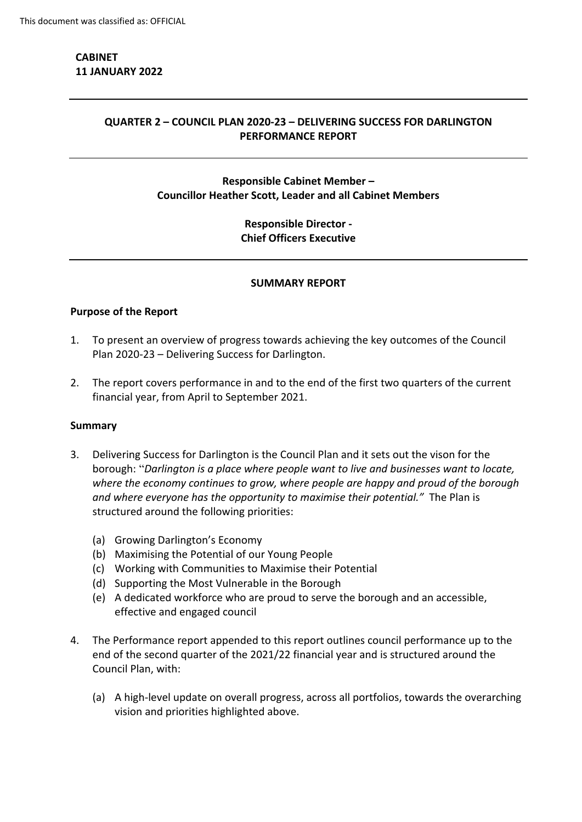# **CABINET 11 JANUARY 2022**

## **QUARTER 2 – COUNCIL PLAN 2020-23 – DELIVERING SUCCESS FOR DARLINGTON PERFORMANCE REPORT**

# **Responsible Cabinet Member – Councillor Heather Scott, Leader and all Cabinet Members**

# **Responsible Director - Chief Officers Executive**

#### **SUMMARY REPORT**

## **Purpose of the Report**

- 1. To present an overview of progress towards achieving the key outcomes of the Council Plan 2020-23 – Delivering Success for Darlington.
- 2. The report covers performance in and to the end of the first two quarters of the current financial year, from April to September 2021.

#### **Summary**

- 3. Delivering Success for Darlington is the Council Plan and it sets out the vison for the borough: "*Darlington is a place where people want to live and businesses want to locate, where the economy continues to grow, where people are happy and proud of the borough and where everyone has the opportunity to maximise their potential."* The Plan is structured around the following priorities:
	- (a) Growing Darlington's Economy
	- (b) Maximising the Potential of our Young People
	- (c) Working with Communities to Maximise their Potential
	- (d) Supporting the Most Vulnerable in the Borough
	- (e) A dedicated workforce who are proud to serve the borough and an accessible, effective and engaged council
- 4. The Performance report appended to this report outlines council performance up to the end of the second quarter of the 2021/22 financial year and is structured around the Council Plan, with:
	- (a) A high-level update on overall progress, across all portfolios, towards the overarching vision and priorities highlighted above.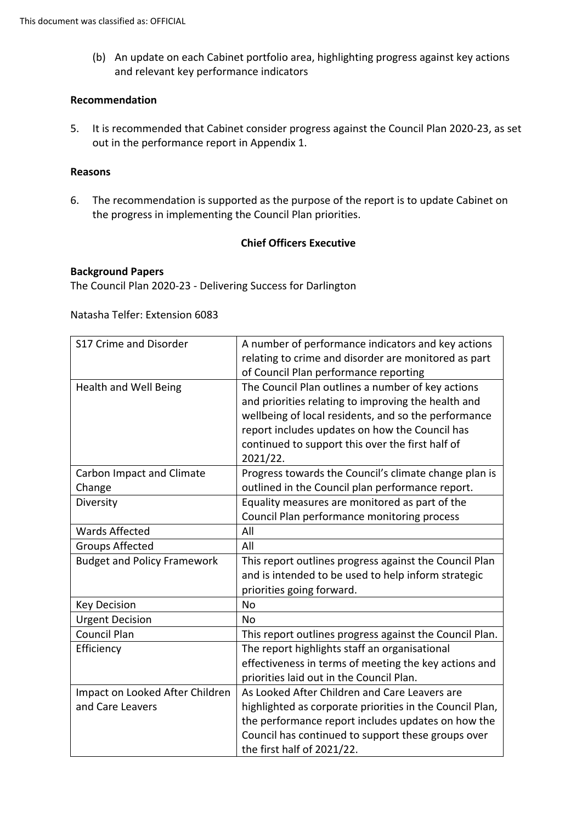(b) An update on each Cabinet portfolio area, highlighting progress against key actions and relevant key performance indicators

#### **Recommendation**

5. It is recommended that Cabinet consider progress against the Council Plan 2020-23, as set out in the performance report in Appendix 1.

#### **Reasons**

6. The recommendation is supported as the purpose of the report is to update Cabinet on the progress in implementing the Council Plan priorities.

#### **Chief Officers Executive**

#### **Background Papers**

The Council Plan 2020-23 - Delivering Success for Darlington

Natasha Telfer: Extension 6083

| S17 Crime and Disorder                     | A number of performance indicators and key actions<br>relating to crime and disorder are monitored as part<br>of Council Plan performance reporting                                                                                                                                |
|--------------------------------------------|------------------------------------------------------------------------------------------------------------------------------------------------------------------------------------------------------------------------------------------------------------------------------------|
| Health and Well Being                      | The Council Plan outlines a number of key actions<br>and priorities relating to improving the health and<br>wellbeing of local residents, and so the performance<br>report includes updates on how the Council has<br>continued to support this over the first half of<br>2021/22. |
| <b>Carbon Impact and Climate</b><br>Change | Progress towards the Council's climate change plan is<br>outlined in the Council plan performance report.                                                                                                                                                                          |
| Diversity                                  | Equality measures are monitored as part of the<br>Council Plan performance monitoring process                                                                                                                                                                                      |
| <b>Wards Affected</b>                      | All                                                                                                                                                                                                                                                                                |
| <b>Groups Affected</b>                     | All                                                                                                                                                                                                                                                                                |
| <b>Budget and Policy Framework</b>         | This report outlines progress against the Council Plan<br>and is intended to be used to help inform strategic<br>priorities going forward.                                                                                                                                         |
| <b>Key Decision</b>                        | <b>No</b>                                                                                                                                                                                                                                                                          |
| <b>Urgent Decision</b>                     | No                                                                                                                                                                                                                                                                                 |
| <b>Council Plan</b>                        | This report outlines progress against the Council Plan.                                                                                                                                                                                                                            |
| Efficiency                                 | The report highlights staff an organisational                                                                                                                                                                                                                                      |
|                                            | effectiveness in terms of meeting the key actions and<br>priorities laid out in the Council Plan.                                                                                                                                                                                  |
| Impact on Looked After Children            | As Looked After Children and Care Leavers are                                                                                                                                                                                                                                      |
| and Care Leavers                           | highlighted as corporate priorities in the Council Plan,                                                                                                                                                                                                                           |
|                                            | the performance report includes updates on how the                                                                                                                                                                                                                                 |
|                                            | Council has continued to support these groups over                                                                                                                                                                                                                                 |
|                                            | the first half of 2021/22.                                                                                                                                                                                                                                                         |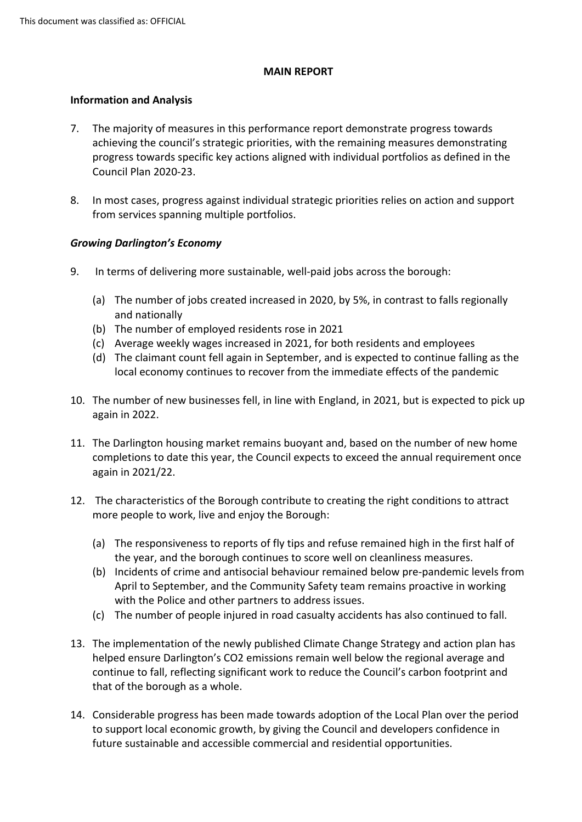#### **MAIN REPORT**

## **Information and Analysis**

- 7. The majority of measures in this performance report demonstrate progress towards achieving the council's strategic priorities, with the remaining measures demonstrating progress towards specific key actions aligned with individual portfolios as defined in the Council Plan 2020-23.
- 8. In most cases, progress against individual strategic priorities relies on action and support from services spanning multiple portfolios.

## *Growing Darlington's Economy*

- 9. In terms of delivering more sustainable, well-paid jobs across the borough:
	- (a) The number of jobs created increased in 2020, by 5%, in contrast to falls regionally and nationally
	- (b) The number of employed residents rose in 2021
	- (c) Average weekly wages increased in 2021, for both residents and employees
	- (d) The claimant count fell again in September, and is expected to continue falling as the local economy continues to recover from the immediate effects of the pandemic
- 10. The number of new businesses fell, in line with England, in 2021, but is expected to pick up again in 2022.
- 11. The Darlington housing market remains buoyant and, based on the number of new home completions to date this year, the Council expects to exceed the annual requirement once again in 2021/22.
- 12. The characteristics of the Borough contribute to creating the right conditions to attract more people to work, live and enjoy the Borough:
	- (a) The responsiveness to reports of fly tips and refuse remained high in the first half of the year, and the borough continues to score well on cleanliness measures.
	- (b) Incidents of crime and antisocial behaviour remained below pre-pandemic levels from April to September, and the Community Safety team remains proactive in working with the Police and other partners to address issues.
	- (c) The number of people injured in road casualty accidents has also continued to fall.
- 13. The implementation of the newly published Climate Change Strategy and action plan has helped ensure Darlington's CO2 emissions remain well below the regional average and continue to fall, reflecting significant work to reduce the Council's carbon footprint and that of the borough as a whole.
- 14. Considerable progress has been made towards adoption of the Local Plan over the period to support local economic growth, by giving the Council and developers confidence in future sustainable and accessible commercial and residential opportunities.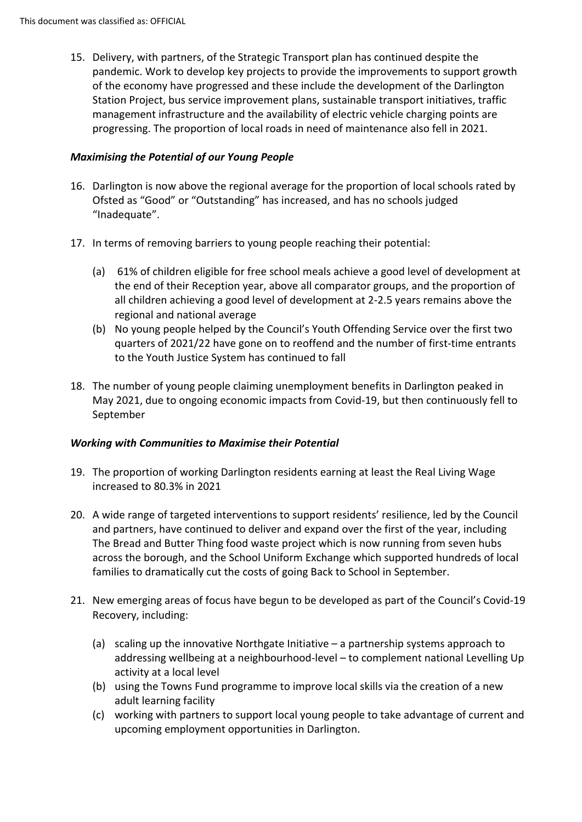15. Delivery, with partners, of the Strategic Transport plan has continued despite the pandemic. Work to develop key projects to provide the improvements to support growth of the economy have progressed and these include the development of the Darlington Station Project, bus service improvement plans, sustainable transport initiatives, traffic management infrastructure and the availability of electric vehicle charging points are progressing. The proportion of local roads in need of maintenance also fell in 2021.

# *Maximising the Potential of our Young People*

- 16. Darlington is now above the regional average for the proportion of local schools rated by Ofsted as "Good" or "Outstanding" has increased, and has no schools judged "Inadequate".
- 17. In terms of removing barriers to young people reaching their potential:
	- (a) 61% of children eligible for free school meals achieve a good level of development at the end of their Reception year, above all comparator groups, and the proportion of all children achieving a good level of development at 2-2.5 years remains above the regional and national average
	- (b) No young people helped by the Council's Youth Offending Service over the first two quarters of 2021/22 have gone on to reoffend and the number of first-time entrants to the Youth Justice System has continued to fall
- 18. The number of young people claiming unemployment benefits in Darlington peaked in May 2021, due to ongoing economic impacts from Covid-19, but then continuously fell to September

# *Working with Communities to Maximise their Potential*

- 19. The proportion of working Darlington residents earning at least the Real Living Wage increased to 80.3% in 2021
- 20. A wide range of targeted interventions to support residents' resilience, led by the Council and partners, have continued to deliver and expand over the first of the year, including The Bread and Butter Thing food waste project which is now running from seven hubs across the borough, and the School Uniform Exchange which supported hundreds of local families to dramatically cut the costs of going Back to School in September.
- 21. New emerging areas of focus have begun to be developed as part of the Council's Covid-19 Recovery, including:
	- (a) scaling up the innovative Northgate Initiative a partnership systems approach to addressing wellbeing at a neighbourhood-level – to complement national Levelling Up activity at a local level
	- (b) using the Towns Fund programme to improve local skills via the creation of a new adult learning facility
	- (c) working with partners to support local young people to take advantage of current and upcoming employment opportunities in Darlington.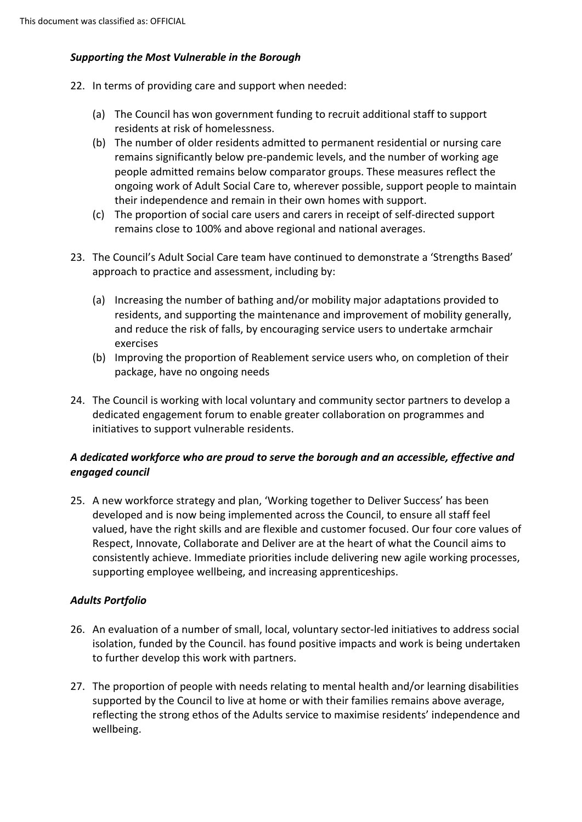## *Supporting the Most Vulnerable in the Borough*

- 22. In terms of providing care and support when needed:
	- (a) The Council has won government funding to recruit additional staff to support residents at risk of homelessness.
	- (b) The number of older residents admitted to permanent residential or nursing care remains significantly below pre-pandemic levels, and the number of working age people admitted remains below comparator groups. These measures reflect the ongoing work of Adult Social Care to, wherever possible, support people to maintain their independence and remain in their own homes with support.
	- (c) The proportion of social care users and carers in receipt of self-directed support remains close to 100% and above regional and national averages.
- 23. The Council's Adult Social Care team have continued to demonstrate a 'Strengths Based' approach to practice and assessment, including by:
	- (a) Increasing the number of bathing and/or mobility major adaptations provided to residents, and supporting the maintenance and improvement of mobility generally, and reduce the risk of falls, by encouraging service users to undertake armchair exercises
	- (b) Improving the proportion of Reablement service users who, on completion of their package, have no ongoing needs
- 24. The Council is working with local voluntary and community sector partners to develop a dedicated engagement forum to enable greater collaboration on programmes and initiatives to support vulnerable residents.

# *A dedicated workforce who are proud to serve the borough and an accessible, effective and engaged council*

25. A new workforce strategy and plan, 'Working together to Deliver Success' has been developed and is now being implemented across the Council, to ensure all staff feel valued, have the right skills and are flexible and customer focused. Our four core values of Respect, Innovate, Collaborate and Deliver are at the heart of what the Council aims to consistently achieve. Immediate priorities include delivering new agile working processes, supporting employee wellbeing, and increasing apprenticeships.

# *Adults Portfolio*

- 26. An evaluation of a number of small, local, voluntary sector-led initiatives to address social isolation, funded by the Council. has found positive impacts and work is being undertaken to further develop this work with partners.
- 27. The proportion of people with needs relating to mental health and/or learning disabilities supported by the Council to live at home or with their families remains above average, reflecting the strong ethos of the Adults service to maximise residents' independence and wellbeing.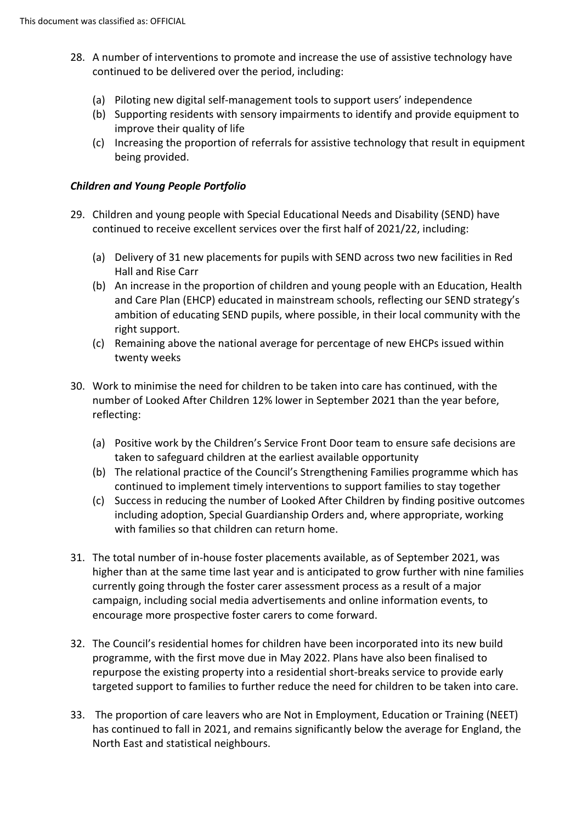- 28. A number of interventions to promote and increase the use of assistive technology have continued to be delivered over the period, including:
	- (a) Piloting new digital self-management tools to support users' independence
	- (b) Supporting residents with sensory impairments to identify and provide equipment to improve their quality of life
	- (c) Increasing the proportion of referrals for assistive technology that result in equipment being provided.

#### *Children and Young People Portfolio*

- 29. Children and young people with Special Educational Needs and Disability (SEND) have continued to receive excellent services over the first half of 2021/22, including:
	- (a) Delivery of 31 new placements for pupils with SEND across two new facilities in Red Hall and Rise Carr
	- (b) An increase in the proportion of children and young people with an Education, Health and Care Plan (EHCP) educated in mainstream schools, reflecting our SEND strategy's ambition of educating SEND pupils, where possible, in their local community with the right support.
	- (c) Remaining above the national average for percentage of new EHCPs issued within twenty weeks
- 30. Work to minimise the need for children to be taken into care has continued, with the number of Looked After Children 12% lower in September 2021 than the year before, reflecting:
	- (a) Positive work by the Children's Service Front Door team to ensure safe decisions are taken to safeguard children at the earliest available opportunity
	- (b) The relational practice of the Council's Strengthening Families programme which has continued to implement timely interventions to support families to stay together
	- (c) Success in reducing the number of Looked After Children by finding positive outcomes including adoption, Special Guardianship Orders and, where appropriate, working with families so that children can return home.
- 31. The total number of in-house foster placements available, as of September 2021, was higher than at the same time last year and is anticipated to grow further with nine families currently going through the foster carer assessment process as a result of a major campaign, including social media advertisements and online information events, to encourage more prospective foster carers to come forward.
- 32. The Council's residential homes for children have been incorporated into its new build programme, with the first move due in May 2022. Plans have also been finalised to repurpose the existing property into a residential short-breaks service to provide early targeted support to families to further reduce the need for children to be taken into care.
- 33. The proportion of care leavers who are Not in Employment, Education or Training (NEET) has continued to fall in 2021, and remains significantly below the average for England, the North East and statistical neighbours.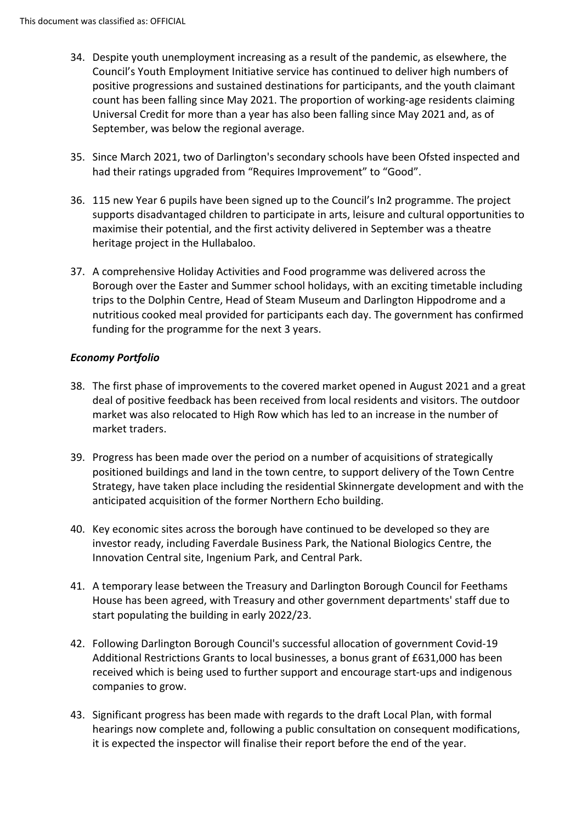- 34. Despite youth unemployment increasing as a result of the pandemic, as elsewhere, the Council's Youth Employment Initiative service has continued to deliver high numbers of positive progressions and sustained destinations for participants, and the youth claimant count has been falling since May 2021. The proportion of working-age residents claiming Universal Credit for more than a year has also been falling since May 2021 and, as of September, was below the regional average.
- 35. Since March 2021, two of Darlington's secondary schools have been Ofsted inspected and had their ratings upgraded from "Requires Improvement" to "Good".
- 36. 115 new Year 6 pupils have been signed up to the Council's In2 programme. The project supports disadvantaged children to participate in arts, leisure and cultural opportunities to maximise their potential, and the first activity delivered in September was a theatre heritage project in the Hullabaloo.
- 37. A comprehensive Holiday Activities and Food programme was delivered across the Borough over the Easter and Summer school holidays, with an exciting timetable including trips to the Dolphin Centre, Head of Steam Museum and Darlington Hippodrome and a nutritious cooked meal provided for participants each day. The government has confirmed funding for the programme for the next 3 years.

# *Economy Portfolio*

- 38. The first phase of improvements to the covered market opened in August 2021 and a great deal of positive feedback has been received from local residents and visitors. The outdoor market was also relocated to High Row which has led to an increase in the number of market traders.
- 39. Progress has been made over the period on a number of acquisitions of strategically positioned buildings and land in the town centre, to support delivery of the Town Centre Strategy, have taken place including the residential Skinnergate development and with the anticipated acquisition of the former Northern Echo building.
- 40. Key economic sites across the borough have continued to be developed so they are investor ready, including Faverdale Business Park, the National Biologics Centre, the Innovation Central site, Ingenium Park, and Central Park.
- 41. A temporary lease between the Treasury and Darlington Borough Council for Feethams House has been agreed, with Treasury and other government departments' staff due to start populating the building in early 2022/23.
- 42. Following Darlington Borough Council's successful allocation of government Covid-19 Additional Restrictions Grants to local businesses, a bonus grant of £631,000 has been received which is being used to further support and encourage start-ups and indigenous companies to grow.
- 43. Significant progress has been made with regards to the draft Local Plan, with formal hearings now complete and, following a public consultation on consequent modifications, it is expected the inspector will finalise their report before the end of the year.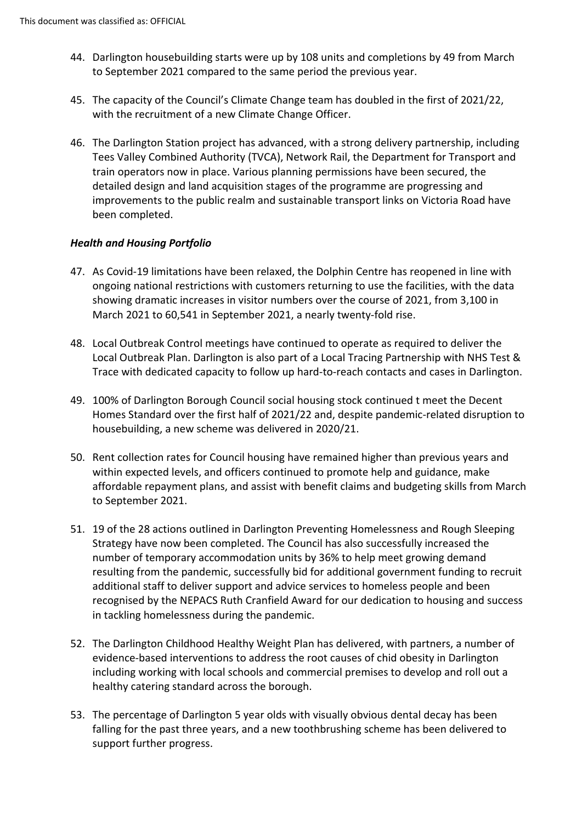- 44. Darlington housebuilding starts were up by 108 units and completions by 49 from March to September 2021 compared to the same period the previous year.
- 45. The capacity of the Council's Climate Change team has doubled in the first of 2021/22, with the recruitment of a new Climate Change Officer.
- 46. The Darlington Station project has advanced, with a strong delivery partnership, including Tees Valley Combined Authority (TVCA), Network Rail, the Department for Transport and train operators now in place. Various planning permissions have been secured, the detailed design and land acquisition stages of the programme are progressing and improvements to the public realm and sustainable transport links on Victoria Road have been completed.

## *Health and Housing Portfolio*

- 47. As Covid-19 limitations have been relaxed, the Dolphin Centre has reopened in line with ongoing national restrictions with customers returning to use the facilities, with the data showing dramatic increases in visitor numbers over the course of 2021, from 3,100 in March 2021 to 60,541 in September 2021, a nearly twenty-fold rise.
- 48. Local Outbreak Control meetings have continued to operate as required to deliver the Local Outbreak Plan. Darlington is also part of a Local Tracing Partnership with NHS Test & Trace with dedicated capacity to follow up hard-to-reach contacts and cases in Darlington.
- 49. 100% of Darlington Borough Council social housing stock continued t meet the Decent Homes Standard over the first half of 2021/22 and, despite pandemic-related disruption to housebuilding, a new scheme was delivered in 2020/21.
- 50. Rent collection rates for Council housing have remained higher than previous years and within expected levels, and officers continued to promote help and guidance, make affordable repayment plans, and assist with benefit claims and budgeting skills from March to September 2021.
- 51. 19 of the 28 actions outlined in Darlington Preventing Homelessness and Rough Sleeping Strategy have now been completed. The Council has also successfully increased the number of temporary accommodation units by 36% to help meet growing demand resulting from the pandemic, successfully bid for additional government funding to recruit additional staff to deliver support and advice services to homeless people and been recognised by the NEPACS Ruth Cranfield Award for our dedication to housing and success in tackling homelessness during the pandemic.
- 52. The Darlington Childhood Healthy Weight Plan has delivered, with partners, a number of evidence-based interventions to address the root causes of chid obesity in Darlington including working with local schools and commercial premises to develop and roll out a healthy catering standard across the borough.
- 53. The percentage of Darlington 5 year olds with visually obvious dental decay has been falling for the past three years, and a new toothbrushing scheme has been delivered to support further progress.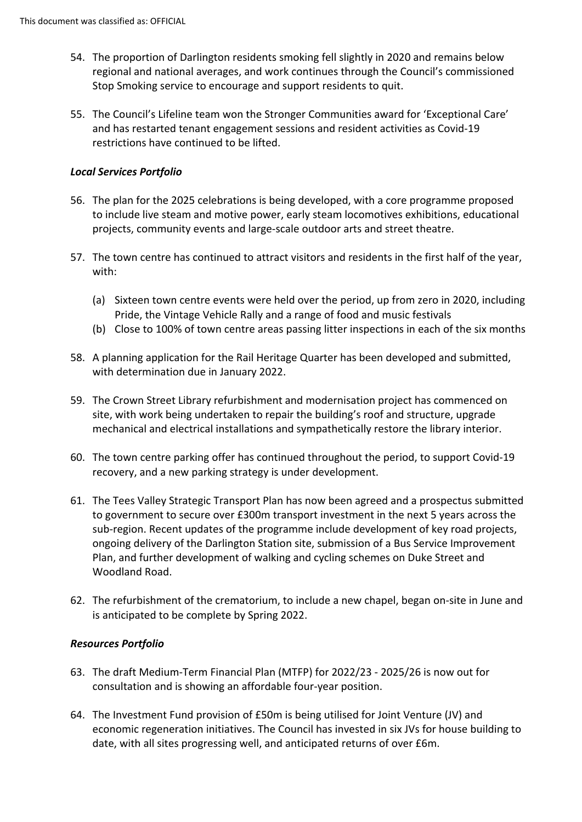- 54. The proportion of Darlington residents smoking fell slightly in 2020 and remains below regional and national averages, and work continues through the Council's commissioned Stop Smoking service to encourage and support residents to quit.
- 55. The Council's Lifeline team won the Stronger Communities award for 'Exceptional Care' and has restarted tenant engagement sessions and resident activities as Covid-19 restrictions have continued to be lifted.

#### *Local Services Portfolio*

- 56. The plan for the 2025 celebrations is being developed, with a core programme proposed to include live steam and motive power, early steam locomotives exhibitions, educational projects, community events and large-scale outdoor arts and street theatre.
- 57. The town centre has continued to attract visitors and residents in the first half of the year, with:
	- (a) Sixteen town centre events were held over the period, up from zero in 2020, including Pride, the Vintage Vehicle Rally and a range of food and music festivals
	- (b) Close to 100% of town centre areas passing litter inspections in each of the six months
- 58. A planning application for the Rail Heritage Quarter has been developed and submitted, with determination due in January 2022.
- 59. The Crown Street Library refurbishment and modernisation project has commenced on site, with work being undertaken to repair the building's roof and structure, upgrade mechanical and electrical installations and sympathetically restore the library interior.
- 60. The town centre parking offer has continued throughout the period, to support Covid-19 recovery, and a new parking strategy is under development.
- 61. The Tees Valley Strategic Transport Plan has now been agreed and a prospectus submitted to government to secure over £300m transport investment in the next 5 years across the sub-region. Recent updates of the programme include development of key road projects, ongoing delivery of the Darlington Station site, submission of a Bus Service Improvement Plan, and further development of walking and cycling schemes on Duke Street and Woodland Road.
- 62. The refurbishment of the crematorium, to include a new chapel, began on-site in June and is anticipated to be complete by Spring 2022.

#### *Resources Portfolio*

- 63. The draft Medium-Term Financial Plan (MTFP) for 2022/23 2025/26 is now out for consultation and is showing an affordable four-year position.
- 64. The Investment Fund provision of £50m is being utilised for Joint Venture (JV) and economic regeneration initiatives. The Council has invested in six JVs for house building to date, with all sites progressing well, and anticipated returns of over £6m.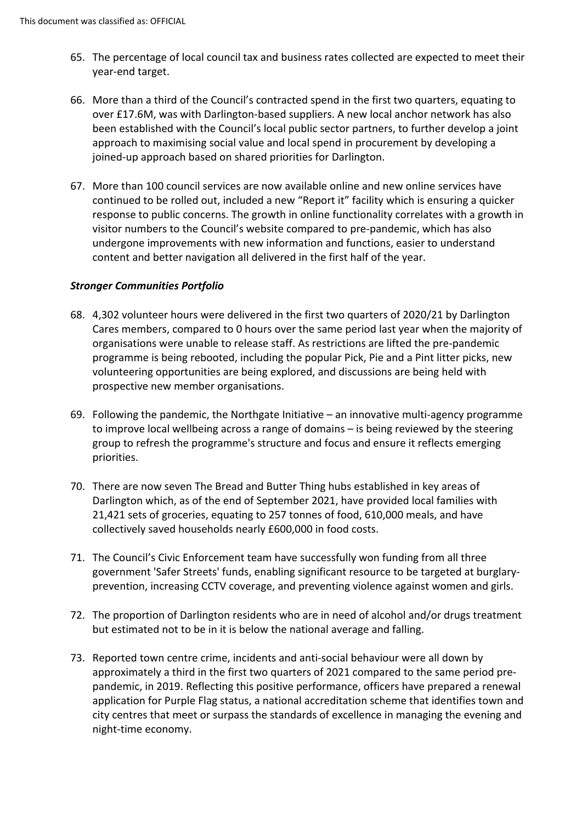- 65. The percentage of local council tax and business rates collected are expected to meet their year-end target.
- 66. More than a third of the Council's contracted spend in the first two quarters, equating to over £17.6M, was with Darlington-based suppliers. A new local anchor network has also been established with the Council's local public sector partners, to further develop a joint approach to maximising social value and local spend in procurement by developing a joined-up approach based on shared priorities for Darlington.
- 67. More than 100 council services are now available online and new online services have continued to be rolled out, included a new "Report it" facility which is ensuring a quicker response to public concerns. The growth in online functionality correlates with a growth in visitor numbers to the Council's website compared to pre-pandemic, which has also undergone improvements with new information and functions, easier to understand content and better navigation all delivered in the first half of the year.

## *Stronger Communities Portfolio*

- 68. 4,302 volunteer hours were delivered in the first two quarters of 2020/21 by Darlington Cares members, compared to 0 hours over the same period last year when the majority of organisations were unable to release staff. As restrictions are lifted the pre-pandemic programme is being rebooted, including the popular Pick, Pie and a Pint litter picks, new volunteering opportunities are being explored, and discussions are being held with prospective new member organisations.
- 69. Following the pandemic, the Northgate Initiative an innovative multi-agency programme to improve local wellbeing across a range of domains – is being reviewed by the steering group to refresh the programme's structure and focus and ensure it reflects emerging priorities.
- 70. There are now seven The Bread and Butter Thing hubs established in key areas of Darlington which, as of the end of September 2021, have provided local families with 21,421 sets of groceries, equating to 257 tonnes of food, 610,000 meals, and have collectively saved households nearly £600,000 in food costs.
- 71. The Council's Civic Enforcement team have successfully won funding from all three government 'Safer Streets' funds, enabling significant resource to be targeted at burglaryprevention, increasing CCTV coverage, and preventing violence against women and girls.
- 72. The proportion of Darlington residents who are in need of alcohol and/or drugs treatment but estimated not to be in it is below the national average and falling.
- 73. Reported town centre crime, incidents and anti-social behaviour were all down by approximately a third in the first two quarters of 2021 compared to the same period prepandemic, in 2019. Reflecting this positive performance, officers have prepared a renewal application for Purple Flag status, a national accreditation scheme that identifies town and city centres that meet or surpass the standards of excellence in managing the evening and night-time economy.